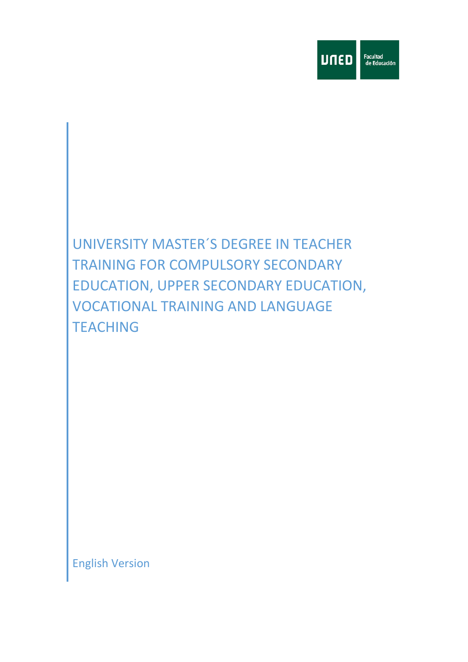

# UNIVERSITY MASTER´S DEGREE IN TEACHER TRAINING FOR COMPULSORY SECONDARY EDUCATION, UPPER SECONDARY EDUCATION, VOCATIONAL TRAINING AND LANGUAGE **TEACHING**

English Version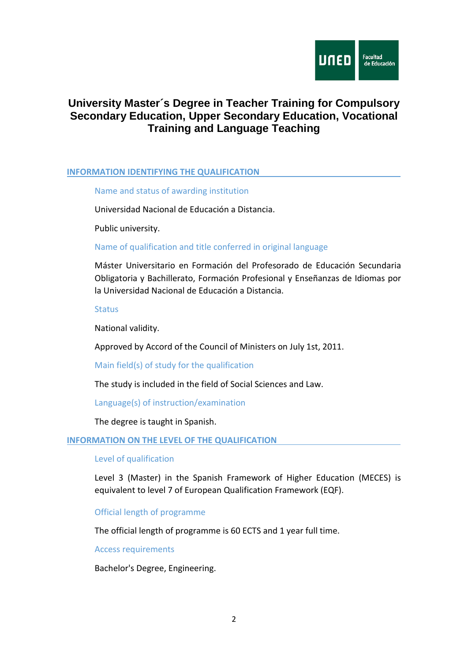

## **University Master´s Degree in Teacher Training for Compulsory Secondary Education, Upper Secondary Education, Vocational Training and Language Teaching**

#### **INFORMATION IDENTIFYING THE QUALIFICATION**

Name and status of awarding institution

Universidad Nacional de Educación a Distancia.

Public university.

#### Name of qualification and title conferred in original language

Máster Universitario en Formación del Profesorado de Educación Secundaria Obligatoria y Bachillerato, Formación Profesional y Enseñanzas de Idiomas por la Universidad Nacional de Educación a Distancia.

Status

National validity.

Approved by Accord of the Council of Ministers on July 1st, 2011.

Main field(s) of study for the qualification

The study is included in the field of Social Sciences and Law.

Language(s) of instruction/examination

The degree is taught in Spanish.

#### **INFORMATION ON THE LEVEL OF THE QUALIFICATION**

#### Level of qualification

Level 3 (Master) in the Spanish Framework of Higher Education (MECES) is equivalent to level 7 of European Qualification Framework (EQF).

Official length of programme

The official length of programme is 60 ECTS and 1 year full time.

Access requirements

Bachelor's Degree, Engineering.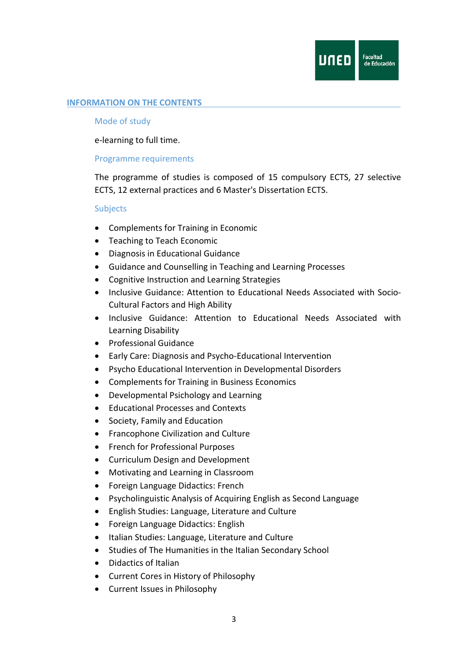

#### **INFORMATION ON THE CONTENTS**

#### Mode of study

e-learning to full time.

#### Programme requirements

The programme of studies is composed of 15 compulsory ECTS, 27 selective ECTS, 12 external practices and 6 Master's Dissertation ECTS.

#### Subjects

- Complements for Training in Economic
- Teaching to Teach Economic
- Diagnosis in Educational Guidance
- Guidance and Counselling in Teaching and Learning Processes
- Cognitive Instruction and Learning Strategies
- Inclusive Guidance: Attention to Educational Needs Associated with Socio-Cultural Factors and High Ability
- Inclusive Guidance: Attention to Educational Needs Associated with Learning Disability
- Professional Guidance
- Early Care: Diagnosis and Psycho-Educational Intervention
- Psycho Educational Intervention in Developmental Disorders
- Complements for Training in Business Economics
- Developmental Psichology and Learning
- Educational Processes and Contexts
- Society, Family and Education
- Francophone Civilization and Culture
- French for Professional Purposes
- Curriculum Design and Development
- Motivating and Learning in Classroom
- Foreign Language Didactics: French
- Psycholinguistic Analysis of Acquiring English as Second Language
- English Studies: Language, Literature and Culture
- Foreign Language Didactics: English
- Italian Studies: Language, Literature and Culture
- Studies of The Humanities in the Italian Secondary School
- Didactics of Italian
- Current Cores in History of Philosophy
- Current Issues in Philosophy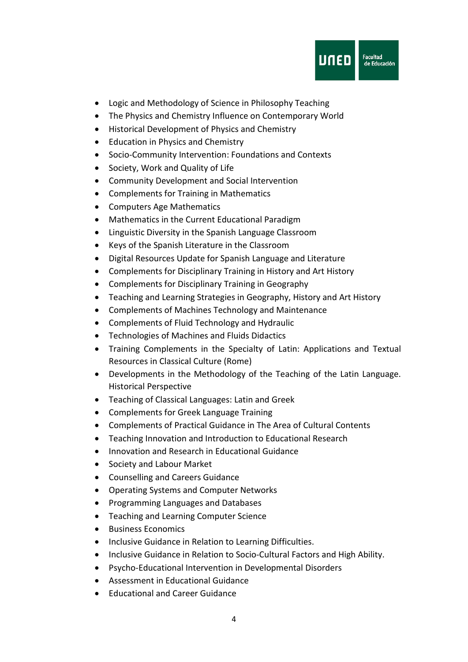

- Logic and Methodology of Science in Philosophy Teaching
- The Physics and Chemistry Influence on Contemporary World
- Historical Development of Physics and Chemistry
- Education in Physics and Chemistry
- Socio-Community Intervention: Foundations and Contexts
- Society, Work and Quality of Life
- Community Development and Social Intervention
- Complements for Training in Mathematics
- Computers Age Mathematics
- Mathematics in the Current Educational Paradigm
- Linguistic Diversity in the Spanish Language Classroom
- Keys of the Spanish Literature in the Classroom
- Digital Resources Update for Spanish Language and Literature
- Complements for Disciplinary Training in History and Art History
- Complements for Disciplinary Training in Geography
- Teaching and Learning Strategies in Geography, History and Art History
- Complements of Machines Technology and Maintenance
- Complements of Fluid Technology and Hydraulic
- Technologies of Machines and Fluids Didactics
- Training Complements in the Specialty of Latin: Applications and Textual Resources in Classical Culture (Rome)
- Developments in the Methodology of the Teaching of the Latin Language. Historical Perspective
- Teaching of Classical Languages: Latin and Greek
- Complements for Greek Language Training
- Complements of Practical Guidance in The Area of Cultural Contents
- Teaching Innovation and Introduction to Educational Research
- Innovation and Research in Educational Guidance
- Society and Labour Market
- Counselling and Careers Guidance
- Operating Systems and Computer Networks
- Programming Languages and Databases
- Teaching and Learning Computer Science
- Business Economics
- Inclusive Guidance in Relation to Learning Difficulties.
- Inclusive Guidance in Relation to Socio-Cultural Factors and High Ability.
- Psycho-Educational Intervention in Developmental Disorders
- Assessment in Educational Guidance
- Educational and Career Guidance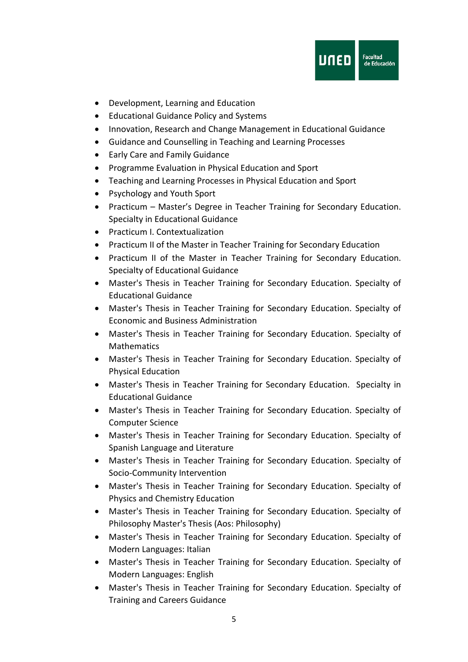

- Development, Learning and Education
- Educational Guidance Policy and Systems
- Innovation, Research and Change Management in Educational Guidance
- Guidance and Counselling in Teaching and Learning Processes
- Early Care and Family Guidance
- Programme Evaluation in Physical Education and Sport
- Teaching and Learning Processes in Physical Education and Sport
- Psychology and Youth Sport
- Practicum Master's Degree in Teacher Training for Secondary Education. Specialty in Educational Guidance
- Practicum I. Contextualization
- Practicum II of the Master in Teacher Training for Secondary Education
- Practicum II of the Master in Teacher Training for Secondary Education. Specialty of Educational Guidance
- Master's Thesis in Teacher Training for Secondary Education. Specialty of Educational Guidance
- Master's Thesis in Teacher Training for Secondary Education. Specialty of Economic and Business Administration
- Master's Thesis in Teacher Training for Secondary Education. Specialty of Mathematics
- Master's Thesis in Teacher Training for Secondary Education. Specialty of Physical Education
- Master's Thesis in Teacher Training for Secondary Education. Specialty in Educational Guidance
- Master's Thesis in Teacher Training for Secondary Education. Specialty of Computer Science
- Master's Thesis in Teacher Training for Secondary Education. Specialty of Spanish Language and Literature
- Master's Thesis in Teacher Training for Secondary Education. Specialty of Socio-Community Intervention
- Master's Thesis in Teacher Training for Secondary Education. Specialty of Physics and Chemistry Education
- Master's Thesis in Teacher Training for Secondary Education. Specialty of Philosophy Master's Thesis (Aos: Philosophy)
- Master's Thesis in Teacher Training for Secondary Education. Specialty of Modern Languages: Italian
- Master's Thesis in Teacher Training for Secondary Education. Specialty of Modern Languages: English
- Master's Thesis in Teacher Training for Secondary Education. Specialty of Training and Careers Guidance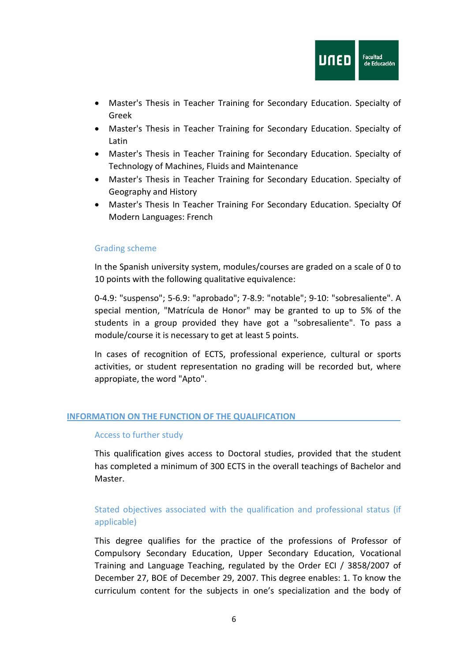

- Master's Thesis in Teacher Training for Secondary Education. Specialty of Greek
- Master's Thesis in Teacher Training for Secondary Education. Specialty of Latin
- Master's Thesis in Teacher Training for Secondary Education. Specialty of Technology of Machines, Fluids and Maintenance
- Master's Thesis in Teacher Training for Secondary Education. Specialty of Geography and History
- Master's Thesis In Teacher Training For Secondary Education. Specialty Of Modern Languages: French

#### Grading scheme

In the Spanish university system, modules/courses are graded on a scale of 0 to 10 points with the following qualitative equivalence:

0-4.9: "suspenso"; 5-6.9: "aprobado"; 7-8.9: "notable"; 9-10: "sobresaliente". A special mention, "Matrícula de Honor" may be granted to up to 5% of the students in a group provided they have got a "sobresaliente". To pass a module/course it is necessary to get at least 5 points.

In cases of recognition of ECTS, professional experience, cultural or sports activities, or student representation no grading will be recorded but, where appropiate, the word "Apto".

#### **INFORMATION ON THE FUNCTION OF THE QUALIFICATION**

#### Access to further study

This qualification gives access to Doctoral studies, provided that the student has completed a minimum of 300 ECTS in the overall teachings of Bachelor and Master.

### Stated objectives associated with the qualification and professional status (if applicable)

This degree qualifies for the practice of the professions of Professor of Compulsory Secondary Education, Upper Secondary Education, Vocational Training and Language Teaching, regulated by the Order ECI / 3858/2007 of December 27, BOE of December 29, 2007. This degree enables: 1. To know the curriculum content for the subjects in one's specialization and the body of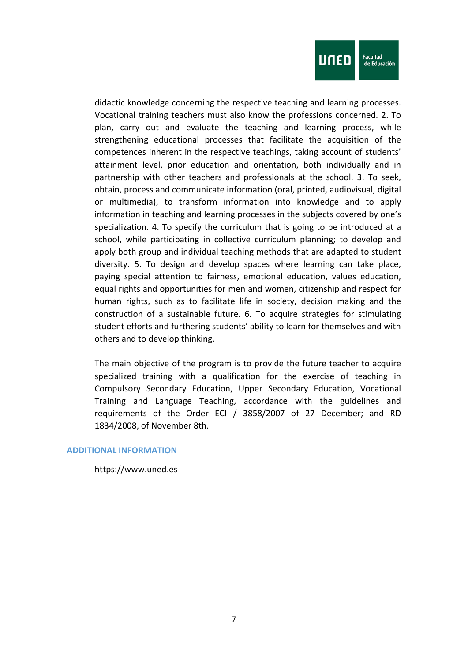

didactic knowledge concerning the respective teaching and learning processes. Vocational training teachers must also know the professions concerned. 2. To plan, carry out and evaluate the teaching and learning process, while strengthening educational processes that facilitate the acquisition of the competences inherent in the respective teachings, taking account of students' attainment level, prior education and orientation, both individually and in partnership with other teachers and professionals at the school. 3. To seek, obtain, process and communicate information (oral, printed, audiovisual, digital or multimedia), to transform information into knowledge and to apply information in teaching and learning processes in the subjects covered by one's specialization. 4. To specify the curriculum that is going to be introduced at a school, while participating in collective curriculum planning; to develop and apply both group and individual teaching methods that are adapted to student diversity. 5. To design and develop spaces where learning can take place, paying special attention to fairness, emotional education, values education, equal rights and opportunities for men and women, citizenship and respect for human rights, such as to facilitate life in society, decision making and the construction of a sustainable future. 6. To acquire strategies for stimulating student efforts and furthering students' ability to learn for themselves and with others and to develop thinking.

The main objective of the program is to provide the future teacher to acquire specialized training with a qualification for the exercise of teaching in Compulsory Secondary Education, Upper Secondary Education, Vocational Training and Language Teaching, accordance with the guidelines and requirements of the Order ECI / 3858/2007 of 27 December; and RD 1834/2008, of November 8th.

#### **ADDITIONAL INFORMATION**

[https://www.uned.es](https://www.uned.es/)